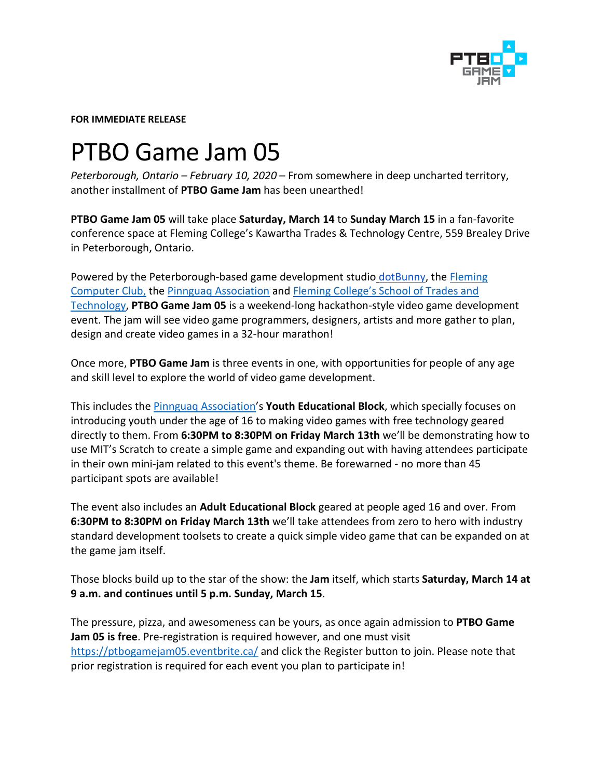

**FOR IMMEDIATE RELEASE**

## PTBO Game Jam 05

*Peterborough, Ontario – February 10, 2020* – From somewhere in deep uncharted territory, another installment of **PTBO Game Jam** has been unearthed!

**PTBO Game Jam 05** will take place **Saturday, March 14** to **Sunday March 15** in a fan-favorite conference space at Fleming College's Kawartha Trades & Technology Centre, 559 Brealey Drive in Peterborough, Ontario.

Powered by the Peterborough-based game development studio [dotBunny,](http://dotbunny.com/) the Fleming [Computer Club,](https://www.flemingclub.ca/) the [Pinnguaq Association](https://pinnguaq.com/) and [Fleming College's School of Trades and](https://flemingcollege.ca/)  [Technology,](https://flemingcollege.ca/) **PTBO Game Jam 05** is a weekend-long hackathon-style video game development event. The jam will see video game programmers, designers, artists and more gather to plan, design and create video games in a 32-hour marathon!

Once more, **PTBO Game Jam** is three events in one, with opportunities for people of any age and skill level to explore the world of video game development.

This includes the [Pinnguaq Association'](https://pinnguaq.com/)s **Youth Educational Block**, which specially focuses on introducing youth under the age of 16 to making video games with free technology geared directly to them. From **6:30PM to 8:30PM on Friday March 13th** we'll be demonstrating how to use MIT's Scratch to create a simple game and expanding out with having attendees participate in their own mini-jam related to this event's theme. Be forewarned - no more than 45 participant spots are available!

The event also includes an **Adult Educational Block** geared at people aged 16 and over. From **6:30PM to 8:30PM on Friday March 13th** we'll take attendees from zero to hero with industry standard development toolsets to create a quick simple video game that can be expanded on at the game jam itself.

Those blocks build up to the star of the show: the **Jam** itself, which starts **Saturday, March 14 at 9 a.m. and continues until 5 p.m. Sunday, March 15**.

The pressure, pizza, and awesomeness can be yours, as once again admission to **PTBO Game Jam 05 is free**. Pre-registration is required however, and one must visit <https://ptbogamejam05.eventbrite.ca/> and click the Register button to join. Please note that prior registration is required for each event you plan to participate in!